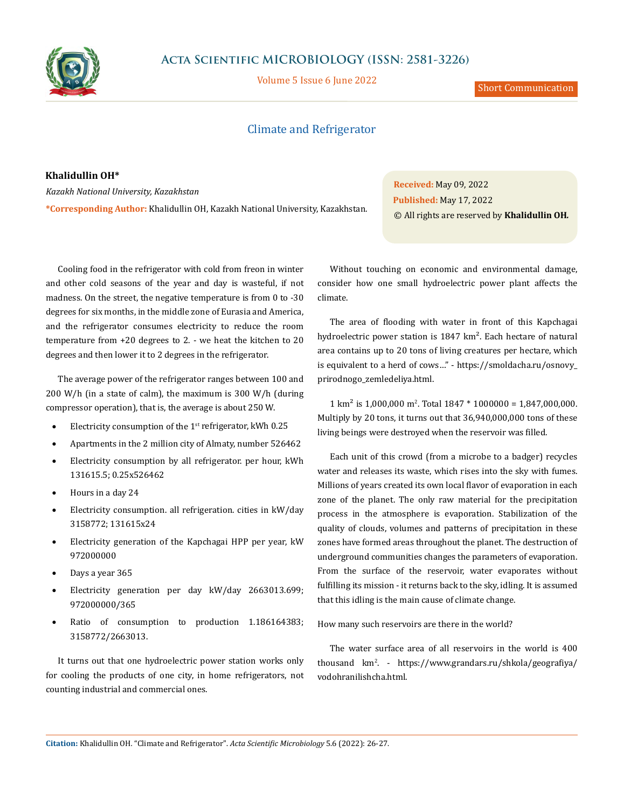

## **Acta Scientific MICROBIOLOGY (ISSN: 2581-3226)**

Volume 5 Issue 6 June 2022

Short Communication

## Climate and Refrigerator

**Khalidullin OH\*** *Kazakh National University, Kazakhstan* **\*Corresponding Author:** Khalidullin OH, Kazakh National University, Kazakhstan.

**Received:** May 09, 2022 **Published:** May 17, 2022 © All rights are reserved by **Khalidullin OH***.*

Cooling food in the refrigerator with cold from freon in winter and other cold seasons of the year and day is wasteful, if not madness. On the street, the negative temperature is from 0 to -30 degrees for six months, in the middle zone of Eurasia and America, and the refrigerator consumes electricity to reduce the room temperature from +20 degrees to 2. - we heat the kitchen to 20 degrees and then lower it to 2 degrees in the refrigerator.

The average power of the refrigerator ranges between 100 and 200 W/h (in a state of calm), the maximum is 300 W/h (during compressor operation), that is, the average is about 250 W.

- Electricity consumption of the  $1<sup>st</sup>$  refrigerator, kWh 0.25
- Apartments in the 2 million city of Almaty, number 526462
- Electricity consumption by all refrigerator. per hour, kWh 131615.5; 0.25х526462
- Hours in a day 24
- Electricity consumption. all refrigeration. cities in kW/day 3158772; 131615х24
- Electricity generation of the Kapchagai HPP per year, kW 972000000
- Days a year 365
- Electricity generation per day kW/day 2663013.699; 972000000/365
- Ratio of consumption to production 1.186164383; 3158772/2663013.

It turns out that one hydroelectric power station works only for cooling the products of one city, in home refrigerators, not counting industrial and commercial ones.

Without touching on economic and environmental damage, consider how one small hydroelectric power plant affects the climate.

The area of flooding with water in front of this Kapchagai hydroelectric power station is 1847 km<sup>2</sup>. Each hectare of natural area contains up to 20 tons of living creatures per hectare, which is equivalent to a herd of cows…" - https://smoldacha.ru/osnovy\_ prirodnogo\_zemledeliya.html.

 $1 \text{ km}^2$  is 1,000,000 m<sup>2</sup>. Total  $1847 * 1000000 = 1,847,000,000$ . Multiply by 20 tons, it turns out that 36,940,000,000 tons of these living beings were destroyed when the reservoir was filled.

Each unit of this crowd (from a microbe to a badger) recycles water and releases its waste, which rises into the sky with fumes. Millions of years created its own local flavor of evaporation in each zone of the planet. The only raw material for the precipitation process in the atmosphere is evaporation. Stabilization of the quality of clouds, volumes and patterns of precipitation in these zones have formed areas throughout the planet. The destruction of underground communities changes the parameters of evaporation. From the surface of the reservoir, water evaporates without fulfilling its mission - it returns back to the sky, idling. It is assumed that this idling is the main cause of climate change.

How many such reservoirs are there in the world?

The water surface area of all reservoirs in the world is 400 thousand km<sup>2</sup> . - https://www.grandars.ru/shkola/geografiya/ vodohranilishcha.html.

**Citation:** Khalidullin OH*.* "Climate and Refrigerator". *Acta Scientific Microbiology* 5.6 (2022): 26-27.